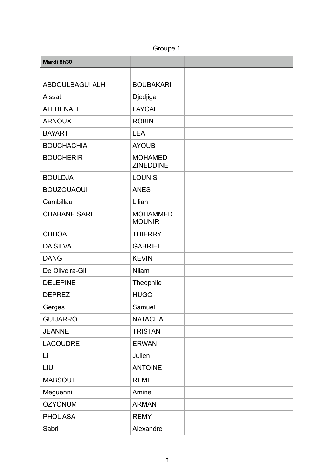| Groupe 1 |  |
|----------|--|
|----------|--|

| Mardi 8h30             |                                    |  |
|------------------------|------------------------------------|--|
|                        |                                    |  |
| <b>ABDOULBAGUI ALH</b> | <b>BOUBAKARI</b>                   |  |
| Aissat                 | Djedjiga                           |  |
| <b>AIT BENALI</b>      | <b>FAYCAL</b>                      |  |
| <b>ARNOUX</b>          | <b>ROBIN</b>                       |  |
| <b>BAYART</b>          | <b>LEA</b>                         |  |
| <b>BOUCHACHIA</b>      | <b>AYOUB</b>                       |  |
| <b>BOUCHERIR</b>       | <b>MOHAMED</b><br><b>ZINEDDINE</b> |  |
| <b>BOULDJA</b>         | <b>LOUNIS</b>                      |  |
| <b>BOUZOUAOUI</b>      | <b>ANES</b>                        |  |
| Cambillau              | Lilian                             |  |
| <b>CHABANE SARI</b>    | <b>MOHAMMED</b><br><b>MOUNIR</b>   |  |
| <b>CHHOA</b>           | <b>THIERRY</b>                     |  |
| <b>DA SILVA</b>        | <b>GABRIEL</b>                     |  |
| <b>DANG</b>            | <b>KEVIN</b>                       |  |
| De Oliveira-Gill       | Nilam                              |  |
| <b>DELEPINE</b>        | Theophile                          |  |
| <b>DEPREZ</b>          | <b>HUGO</b>                        |  |
| Gerges                 | Samuel                             |  |
| <b>GUIJARRO</b>        | <b>NATACHA</b>                     |  |
| <b>JEANNE</b>          | <b>TRISTAN</b>                     |  |
| <b>LACOUDRE</b>        | <b>ERWAN</b>                       |  |
| Li                     | Julien                             |  |
| LIU                    | <b>ANTOINE</b>                     |  |
| <b>MABSOUT</b>         | <b>REMI</b>                        |  |
| Meguenni               | Amine                              |  |
| <b>OZYONUM</b>         | <b>ARMAN</b>                       |  |
| PHOL ASA               | <b>REMY</b>                        |  |
| Sabri                  | Alexandre                          |  |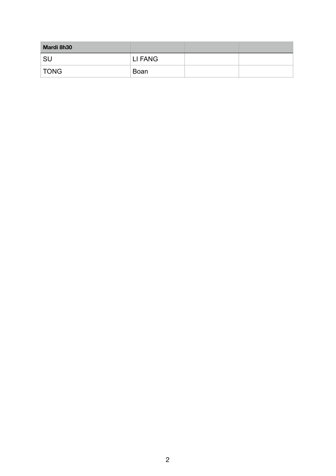| Mardi 8h30  |         |  |
|-------------|---------|--|
| <b>SU</b>   | LI FANG |  |
| <b>TONG</b> | Boan    |  |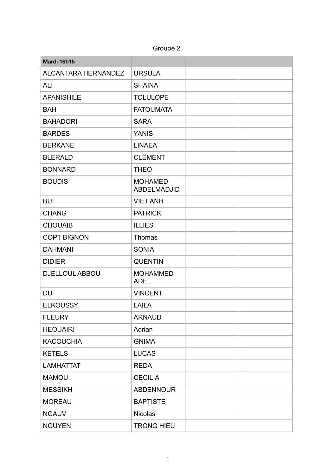Groupe 2

| Mardi 16h15                |                                      |  |
|----------------------------|--------------------------------------|--|
| <b>ALCANTARA HERNANDEZ</b> | <b>URSULA</b>                        |  |
| <b>ALI</b>                 | <b>SHAINA</b>                        |  |
| <b>APANISHILE</b>          | <b>TOLULOPE</b>                      |  |
| <b>BAH</b>                 | <b>FATOUMATA</b>                     |  |
| <b>BAHADORI</b>            | <b>SARA</b>                          |  |
| <b>BARDES</b>              | <b>YANIS</b>                         |  |
| <b>BERKANE</b>             | <b>LINAEA</b>                        |  |
| <b>BLERALD</b>             | <b>CLEMENT</b>                       |  |
| <b>BONNARD</b>             | <b>THEO</b>                          |  |
| <b>BOUDIS</b>              | <b>MOHAMED</b><br><b>ABDELMADJID</b> |  |
| <b>BUI</b>                 | <b>VIET ANH</b>                      |  |
| <b>CHANG</b>               | <b>PATRICK</b>                       |  |
| <b>CHOUAIB</b>             | <b>ILLIES</b>                        |  |
| <b>COPT BIGNON</b>         | Thomas                               |  |
| <b>DAHMANI</b>             | <b>SONIA</b>                         |  |
| <b>DIDIER</b>              | <b>QUENTIN</b>                       |  |
| <b>DJELLOUL ABBOU</b>      | <b>MOHAMMED</b><br><b>ADEL</b>       |  |
| <b>DU</b>                  | <b>VINCENT</b>                       |  |
| <b>ELKOUSSY</b>            | <b>LAILA</b>                         |  |
| <b>FLEURY</b>              | <b>ARNAUD</b>                        |  |
| <b>HEOUAIRI</b>            | Adrian                               |  |
| <b>KACOUCHIA</b>           | <b>GNIMA</b>                         |  |
| <b>KETELS</b>              | <b>LUCAS</b>                         |  |
| <b>LAMHATTAT</b>           | <b>REDA</b>                          |  |
| <b>MAMOU</b>               | <b>CECILIA</b>                       |  |
| <b>MESSIKH</b>             | <b>ABDENNOUR</b>                     |  |
| <b>MOREAU</b>              | <b>BAPTISTE</b>                      |  |
| <b>NGAUV</b>               | <b>Nicolas</b>                       |  |
| <b>NGUYEN</b>              | <b>TRONG HIEU</b>                    |  |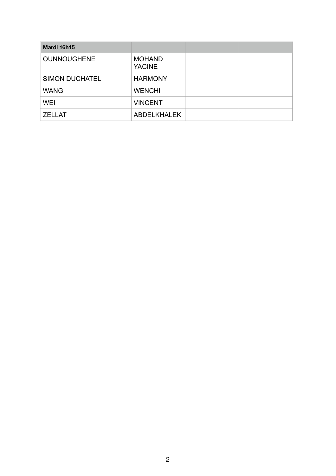| Mardi 16h15           |                                |  |
|-----------------------|--------------------------------|--|
| <b>OUNNOUGHENE</b>    | <b>MOHAND</b><br><b>YACINE</b> |  |
| <b>SIMON DUCHATEL</b> | <b>HARMONY</b>                 |  |
| <b>WANG</b>           | <b>WENCHI</b>                  |  |
| <b>WEI</b>            | <b>VINCENT</b>                 |  |
| <b>ZELLAT</b>         | <b>ABDELKHALEK</b>             |  |